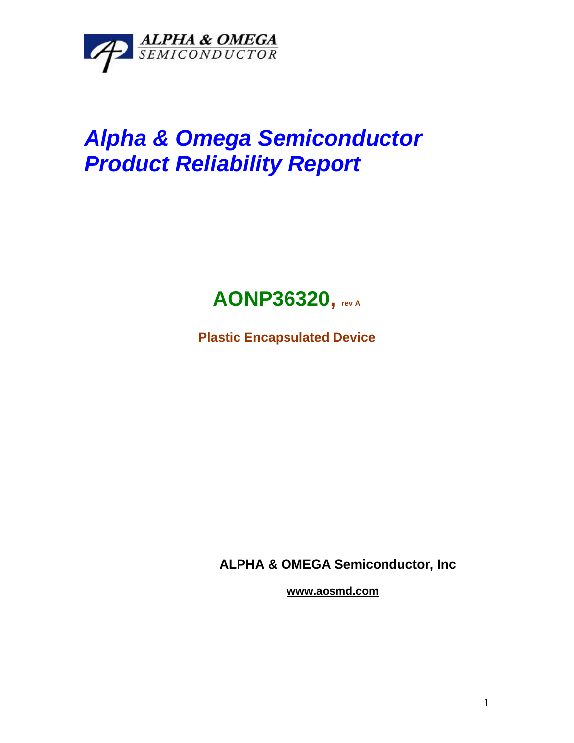

## *Alpha & Omega Semiconductor Product Reliability Report*



**Plastic Encapsulated Device**

**ALPHA & OMEGA Semiconductor, Inc**

**www.aosmd.com**